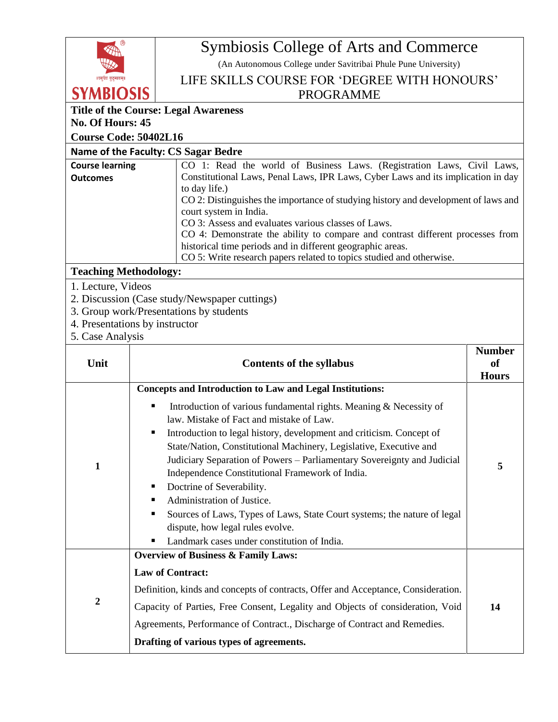

# Symbiosis College of Arts and Commerce

(An Autonomous College under Savitribai Phule Pune University)

LIFE SKILLS COURSE FOR 'DEGREE WITH HONOURS'

#### PROGRAMME

# **Title of the Course: Legal Awareness**

# **Course Code: 50402L16**

### **Name of the Faculty: CS Sagar Bedre**

| <b>Course learning</b> | CO 1: Read the world of Business Laws. (Registration Laws, Civil Laws,             |
|------------------------|------------------------------------------------------------------------------------|
| <b>Outcomes</b>        | Constitutional Laws, Penal Laws, IPR Laws, Cyber Laws and its implication in day   |
|                        | to day life.)                                                                      |
|                        | CO 2: Distinguishes the importance of studying history and development of laws and |
|                        | court system in India.                                                             |
|                        | CO 3: Assess and evaluates various classes of Laws.                                |
|                        | CO 4: Demonstrate the ability to compare and contrast different processes from     |
|                        | historical time periods and in different geographic areas.                         |
|                        | CO 5: Write research papers related to topics studied and otherwise.               |
|                        |                                                                                    |

## **Teaching Methodology:**

- 1. Lecture, Videos
- 2. Discussion (Case study/Newspaper cuttings)
- 3. Group work/Presentations by students
- 4. Presentations by instructor
- 5. Case Analysis

| Unit             | <b>Contents of the syllabus</b>                                                                                                                                                                                                                                                                                                                                                                                                                                                                                                                                                                                                             | <b>Number</b><br><b>of</b><br><b>Hours</b> |
|------------------|---------------------------------------------------------------------------------------------------------------------------------------------------------------------------------------------------------------------------------------------------------------------------------------------------------------------------------------------------------------------------------------------------------------------------------------------------------------------------------------------------------------------------------------------------------------------------------------------------------------------------------------------|--------------------------------------------|
|                  | <b>Concepts and Introduction to Law and Legal Institutions:</b>                                                                                                                                                                                                                                                                                                                                                                                                                                                                                                                                                                             |                                            |
| 1                | Introduction of various fundamental rights. Meaning $\&$ Necessity of<br>٠<br>law. Mistake of Fact and mistake of Law.<br>Introduction to legal history, development and criticism. Concept of<br>п<br>State/Nation, Constitutional Machinery, Legislative, Executive and<br>Judiciary Separation of Powers - Parliamentary Sovereignty and Judicial<br>Independence Constitutional Framework of India.<br>Doctrine of Severability.<br>п<br>Administration of Justice.<br>Sources of Laws, Types of Laws, State Court systems; the nature of legal<br>٠<br>dispute, how legal rules evolve.<br>Landmark cases under constitution of India. | 5                                          |
|                  | <b>Overview of Business &amp; Family Laws:</b>                                                                                                                                                                                                                                                                                                                                                                                                                                                                                                                                                                                              |                                            |
| $\boldsymbol{2}$ | <b>Law of Contract:</b><br>Definition, kinds and concepts of contracts, Offer and Acceptance, Consideration.<br>Capacity of Parties, Free Consent, Legality and Objects of consideration, Void<br>Agreements, Performance of Contract., Discharge of Contract and Remedies.<br>Drafting of various types of agreements.                                                                                                                                                                                                                                                                                                                     | 14                                         |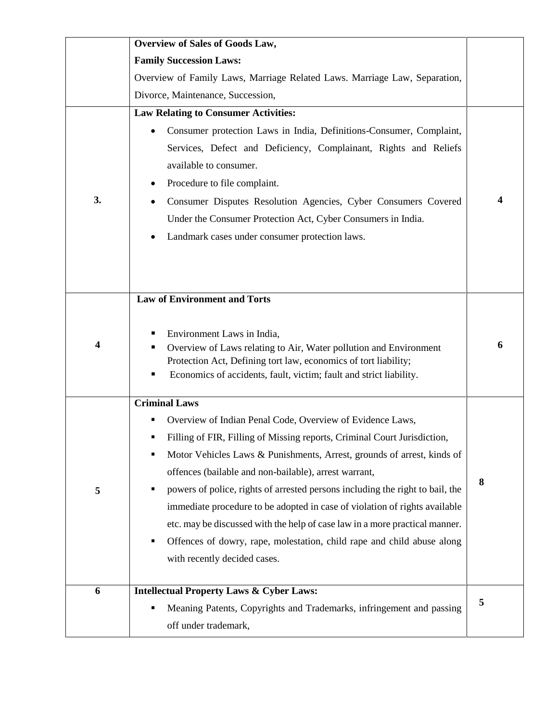|    | <b>Overview of Sales of Goods Law,</b>                                                                                                                                                                                                                                                                                                                                                                                                                                                                                                                                                                                                                             |   |
|----|--------------------------------------------------------------------------------------------------------------------------------------------------------------------------------------------------------------------------------------------------------------------------------------------------------------------------------------------------------------------------------------------------------------------------------------------------------------------------------------------------------------------------------------------------------------------------------------------------------------------------------------------------------------------|---|
|    | <b>Family Succession Laws:</b>                                                                                                                                                                                                                                                                                                                                                                                                                                                                                                                                                                                                                                     |   |
|    | Overview of Family Laws, Marriage Related Laws. Marriage Law, Separation,                                                                                                                                                                                                                                                                                                                                                                                                                                                                                                                                                                                          |   |
|    | Divorce, Maintenance, Succession,                                                                                                                                                                                                                                                                                                                                                                                                                                                                                                                                                                                                                                  |   |
|    | <b>Law Relating to Consumer Activities:</b>                                                                                                                                                                                                                                                                                                                                                                                                                                                                                                                                                                                                                        |   |
| 3. | Consumer protection Laws in India, Definitions-Consumer, Complaint,<br>Services, Defect and Deficiency, Complainant, Rights and Reliefs<br>available to consumer.<br>Procedure to file complaint.<br>Consumer Disputes Resolution Agencies, Cyber Consumers Covered<br>Under the Consumer Protection Act, Cyber Consumers in India.<br>Landmark cases under consumer protection laws.                                                                                                                                                                                                                                                                              |   |
| 4  | <b>Law of Environment and Torts</b><br>Environment Laws in India,<br>Overview of Laws relating to Air, Water pollution and Environment<br>Protection Act, Defining tort law, economics of tort liability;<br>Economics of accidents, fault, victim; fault and strict liability.                                                                                                                                                                                                                                                                                                                                                                                    | 6 |
| 5  | <b>Criminal Laws</b><br>Overview of Indian Penal Code, Overview of Evidence Laws,<br>Filling of FIR, Filling of Missing reports, Criminal Court Jurisdiction,<br>Motor Vehicles Laws & Punishments, Arrest, grounds of arrest, kinds of<br>п<br>offences (bailable and non-bailable), arrest warrant,<br>powers of police, rights of arrested persons including the right to bail, the<br>immediate procedure to be adopted in case of violation of rights available<br>etc. may be discussed with the help of case law in a more practical manner.<br>Offences of dowry, rape, molestation, child rape and child abuse along<br>٠<br>with recently decided cases. | 8 |
| 6  | <b>Intellectual Property Laws &amp; Cyber Laws:</b><br>Meaning Patents, Copyrights and Trademarks, infringement and passing<br>٠<br>off under trademark,                                                                                                                                                                                                                                                                                                                                                                                                                                                                                                           | 5 |